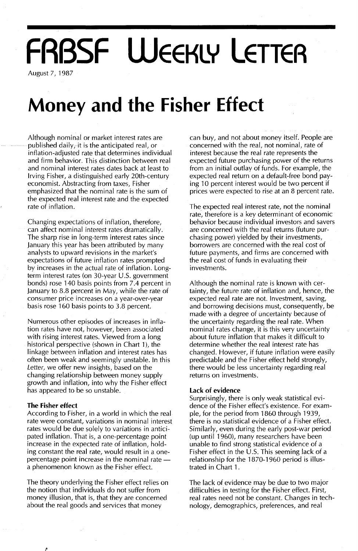# **FRBSF WEEKLY LETTER**

August 7, 1987

### **Money and the Fisher Effect**

Although nominal or market interest rates are published daily, it is the anticipated real, or inflation-adjusted rate that determines individual and firm behavior. This distinction between real and nominal interest rates dates back at least to Irving Fisher, a distinguished early 20th-century economist. Abstracting from taxes, Fisher emphasized that the nominal rate is the sum of the expected real interest rate and the expected rate of inflation.

Changing expectations of inflation, therefore, can affect nominal interest rates dramatically. The sharp rise in long-term interest rates since January this year has been attributed by many analysts to upward revisions in the market's expectations of future inflation rates prompted by increases in the actual rate of inflation. Longterm interest rates (on 30-year U.5. government bonds) rose 140 basis points from 7.4 percent in January to 8.8 percent in May, while the rate of consumer price increases on a year-over-year basis rose 160 basis points to 3.8 percent.

Numerous other episodes of increases in inflation rates have not, however, been associated with rising interest rates. Viewed from a long historical perspective (shown in Chart 1), the linkage between inflation and interest rates has often been weak and seemingly unstable. In this Letter, we offer new insights, based on the changing relationship between money supply growth and inflation, into why the Fisher effect has appeared to be so unstable.

#### **The Fisher effect**

P

According to Fisher, in a world in which the real rate were constant, variations in nominal interest rates would be due solely to variations in anticipated inflation. That is, a one-percentage point increase in the expected rate of inflation, holding constant the real rate, would result in a onepercentage point increase in the nominal ratea phenomenon known as the Fisher effect.

The theory underlying the Fisher effect relies on the notion that individuals do not suffer from money illusion, that is, that they are concerned about the real goods and services that money

can buy, and not about money itself. People are concerned with the real, not nominal, rate of interest because the real rate represents the expected future purchasing power of the returns from an initial outlay of funds. For example, the expected real return on a default-free bond paying 10 percent interest would be two percent if prices were expected to rise at an 8 percent rate.

The expected real interest rate, not the nominal rate, therefore is a key determinant of economic behavior because individual investors and savers are concerned with the real returns (future purchasing power) yielded by their investments, borrowers are concerned with the real costof future payments, and firms are concerned with the real cost of funds in evaluating their investments.

Although the nominal rate is known with certainty, the future rate of inflation and, hence, the expected real rate are not. Investment, saving, and borrowing decisions must, consequently, be made with a degree of uncertainty because of the uncertainty regarding the real rate. When nominal rates change, it is this very uncertainty about future inflation that makes it difficult to determine whether the real interest rate has changed. However, if future inflation were easily predictable and the Fisher effect held strongly, there would be less uncertainty regarding real returns on investments.

#### **Lack of evidence**

Surprisingly, there is only weak statistical evidence of the Fisher effect's existence. For example, for the period from 1860 through 1939, there is no statistical evidence of a Fisher effect. Similarly, even during the early post-war period (up until 1960), many researchers have been unable to find strong statistical evidence of a Fisher effect in the U.S. This seeming lack of a relationship for the 1870-1960 period is illustrated in Chart 1.

The lack of evidence may be due to two major difficulties in testing for the Fisher effect. First, real rates need not be constant. Changes in technology, demographics, preferences, and real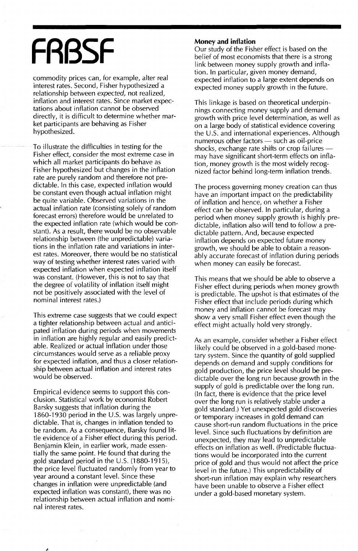# **FRBSF**

commodity prices can, for example, alter real interest rates. Second, Fisher hypothesized a relationship between *expected,* not realized, inflation and interest rates. Since market expectations about inflation cannot be observed directly, it is difficult to determine whether market participants are behaving as Fisher hypothesized.

To illustrate the difficulties in testing for the Fisher effect, consider the most extreme case in which all market participants do behave as Fisher hypothesized but changes in the inflation rate are purely random and therefore not predictable. In this case, expected inflation would be constant even though actual inflation might be quite variable. Observed variations in the actual inflation rate (consisting solely of random forecast errors) therefore would be unrelated to the expected inflation rate (which would be constant). As a result, there would be no observable relationship between (the unpredictable) variations in the inflation rate and variations in interest rates. Moreover, there would be no statistical way of testing whether interest rates varied with expected inflation when expected inflation itself was constant. (However, this is not to say that the degree of volatility of inflation itself might not be positively associated with the level of nominal interest rates.)

This extreme case suggests that we could expect a tighter relationship between actual and anticipated inflation during periods when movements in inflation are highly regular and easily predictable. Realized or actual inflation under those circumstances would serve as a reliable proxy for expected inflation, and thus a closer relationship between actual inflation and interest rates would be observed.

Empirical evidence seems to support this conclusion. Statistical work by economist Robert Barsky suggests that inflation during the 1860-1930 period in the U.S. was largely unpredictable. That is, changes in inflation tended to be random. As a consequence, Barsky found little evidence of a Fisher effect during this period. Benjamin Klein, in earlier work, made essentially the same point. He found that during the gold standard period in the U.s. (1880-1915), the price level fluctuated randomly from year to year around a constant level. Since these changes in inflation were unpredictable (and expected inflation was constant), there was no relationship between actual inflation and nominal interest rates.

#### **Money and inflation**

Our study of the Fisher effect is based on the belief of most economists that there is a strong link between money supply growth and inflation. In particular, given money demand, expected inflation to a large extent depends on expected money supply growth in the future.

This linkage is based on theoretical underpinnings connecting money supply and demand growth with price level determination, as well as on a large body of statistical evidence covering the  $U.S.$  and international experiences. Although numerous other factors  $-$  such as oil-price shocks, exchange rate shifts or crop failures may have significant short-term effects on inflation, money growth is the most widely recognized factor behind long-term inflation trends.

The process governing money creation can thus have an important impact on the predictability of inflation and hence, on whether a Fisher effect can be observed. In particular, during a period when money supply growth is highly predictable, inflation also will tend to follow a predictable pattern. And, because expected inflation depends on expected future money growth, we should be able to obtain a reasonably accurate forecast of inflation during periods when money can easily be forecast.

This means that we should be able to observe a Fisher effect during periods when money growth is predictable. The upshot is that estimates of the Fisher effect that include periods during which money and inflation cannot be forecast may show a very small Fisher effect even though the effect might actually hold very strongly.

As an example, consider whether a Fisher effect likely could be observed in a gold-based monetary system. Since the quantity of gold supplied depends on demand and supply conditions for gold production, the price level should be predictable over the long run because growth in the supply of gold is predictable over the long run. (In fact, there is evidence that the price level over the long run is relatively stable under a gold standard.) Yet unexpected gold discoveries or temporary increases in gold demand can cause short-run random fluctuations in the price level. Since such fluctuations by definition are unexpected, they may lead to unpredictable effects on inflation as well. (Predictable fluctuations would be incorporated into the current price of gold and thus would not affect the price level in the future.) This unpredictability of short-run inflation may explain why researchers have been unable to observe a Fisher effect under a gold-based monetary system.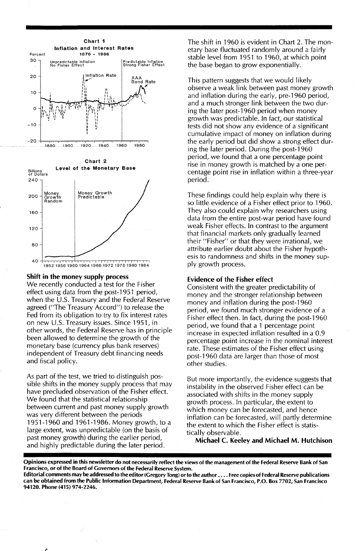



#### Shift in the money supply process

We recently conducted a test for the Fisher effect using data from the post-1951 period, when the U.S. Treasury and the Federal Reserve agreed ("The Treasury Accord") to release the Fed from its obligation to try to fix interest rates on new U.S. Treasury issues. Since 1951, in other words, the Federal Reserve has in principle been allowed to determine the growth of the monetary base (currency plus bank reserves) independent of Treasury debt financing needs and fiscal policy.

As part of the test, we tried to distinguish possible shifts in the money supply process that may have precluded observation of the Fisher effect. We found that the statistical relationship between current and past money supply growth was very different between the periods 1951-1960 and 1961-1986. Money growth, to a large extent, was unpredictable (on the basis of past money growth) during the earlier period, and highly predictable during the later period.

The shift in 1960 is evident in Chart 2. The monetary base fluctuated randomly around a fairly stable level from 1951 to 1960, at which point the base began to grow exponentially.

This pattern suggests that we would likely observe a weak link between past money growth and inflation during the early, pre-1960 period, and a much stronger link between the two during the later post-1960 period when money growth was predictable. In fact, our statistical tests did not show any evidence of a significant cumulative impact of money on inflation during the early period but did show a strong effect during the later period. During the post-1960 period, we found that a one percentage point rise in money growth is matched by a one percentage point rise in inflation within a three-year period.

These findings could help explain why there is so little evidence of a Fisher effect prior to 1960. They also could explain why researchers using data from the entire post-war period have found weak Fisher effects. In contrast to the argument that financial markets only gradually learned their "Fisher" or that they were irrational, we attribute earlier doubt about the Fisher hypothesis to randomness and shifts in the money supply growth process.

#### Evidence of the Fisher effect

Consistent with the greater predictability of money and the stronger relationship between money and inflation during the post-1960 period, we found much stronger evidence of a Fisher effect then. In fact, during the post-1960 period, we found that a 1 percentage point increase in expected inflation resulted in a 0.9 percentage point increase in the nominal interest rate. These estimates of the Fisher effect using post-1960 data are larger than those of most other studies.

But more importantly, the evidence suggests that instability in the observed Fisher effect can be associated with shifts in the money supply growth process. In particular, the extent to which money can be forecasted, and hence inflation can be forecasted, will partly determine the extent to which the Fisher effect is statistically observable.

Michael C. Keeley and Michael M. Hutchison

Opinions expressed in this newsletter do not necessarily reflect the views of the management of the Federal Reserve Bank of San Francisco, or of the Board of Governors of the Federal Reserve System.

Editorial comments may be addressed to the editor (Gregory Tong) or to the author . . . . Free copies of Federal Reserve publications can be obtained from the Public Information Department, Federal Reserve Bank of San Francisco, P.O. Box 7702, San Francisco 94120. Phone (415) 974-2246.